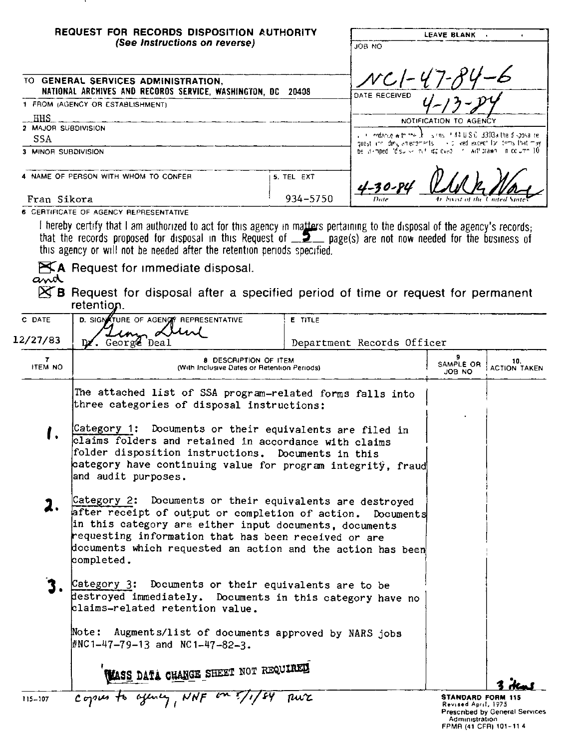| REQUEST FOR RECORDS DISPOSITION AUTHORITY<br>(See Instructions on reverse)                                                                                                                                                                                                                                                                                                                                |            | LEAVE BLANK .<br>OM BOL                                                                                                                 |  |
|-----------------------------------------------------------------------------------------------------------------------------------------------------------------------------------------------------------------------------------------------------------------------------------------------------------------------------------------------------------------------------------------------------------|------------|-----------------------------------------------------------------------------------------------------------------------------------------|--|
| TO GENERAL SERVICES ADMINISTRATION,<br>NATIONAL ARCHIVES AND RECOROS SERVICE, WASHINGTON, DC 20408                                                                                                                                                                                                                                                                                                        |            | $NCI-47-RL$<br>DATE RECEIVED                                                                                                            |  |
| 1 FROM (AGENCY OR ESTABLISHMENT)                                                                                                                                                                                                                                                                                                                                                                          |            |                                                                                                                                         |  |
| . HHS                                                                                                                                                                                                                                                                                                                                                                                                     |            | NOTIFICATION TO AGENCY                                                                                                                  |  |
| 2 MAJOR SUBDIVISION                                                                                                                                                                                                                                                                                                                                                                                       |            |                                                                                                                                         |  |
| SSA                                                                                                                                                                                                                                                                                                                                                                                                       |            | , + limidance with the 此 listins it 44 UIS Cli 3303a the disposalite.<br>guest including amendments of solived except for tems that may |  |
| 3 MINOR SUBDIVISION                                                                                                                                                                                                                                                                                                                                                                                       |            | be is impediate surve in this proved that will brawn in the umm 10                                                                      |  |
| 4 NAME OF PERSON WITH WHOM TO CONFER                                                                                                                                                                                                                                                                                                                                                                      | 5. TEL EXT | $4 - 30 - 84$                                                                                                                           |  |
| Fran Sikora                                                                                                                                                                                                                                                                                                                                                                                               | 934-5750   | Date<br>4r houst of the United Stat                                                                                                     |  |
| 6 CERTIFICATE OF AGENCY REPRESENTATIVE<br>hereby certify that I am authorized to act for this agency in matters pertaining to the disposal of the agency's records;<br>that the records proposed for disposal in this Request of $\Box$ page(s) are not now needed for the business of<br>the contract of the contract of the contract of the contract of the contract of the contract of the contract of |            |                                                                                                                                         |  |

this agency or will not be needed after the retention periods specified.

KA Request for immediate disposal.<br>and

.

**EXTE** Request for disposal after a specified period of time or request for permanent retention.

| C DATE        | D. SIGNATURE OF AGENCY REPRESENTATIVE                                                                                                                                                                                                                                                                                 | <b>E</b> TITLE             |                                                 |                                       |
|---------------|-----------------------------------------------------------------------------------------------------------------------------------------------------------------------------------------------------------------------------------------------------------------------------------------------------------------------|----------------------------|-------------------------------------------------|---------------------------------------|
| 12/27/83      | in Lun<br>Dz. Georgz Deal                                                                                                                                                                                                                                                                                             | Department Records Officer |                                                 |                                       |
| 7.<br>ITEM NO | <b>8 DESCRIPTION OF ITEM</b><br>(With Inclusive Dates or Retention Periods)                                                                                                                                                                                                                                           |                            | 9.<br>SAMPLE OR<br>JOB NO                       | 10.<br><b>ACTION TAKEN</b>            |
|               | The attached list of SSA program-related forms falls into<br>three categories of disposal instructions:                                                                                                                                                                                                               |                            |                                                 |                                       |
| ı.            | Category 1: Documents or their equivalents are filed in<br>claims folders and retained in accordance with claims<br>folder disposition instructions. Documents in this<br>category have continuing value for program integritÿ, fraud<br>and audit purposes.                                                          |                            |                                                 |                                       |
| 2.            | Category 2: Documents or their equivalents are destroyed<br>after receipt of output or completion of action. Documents<br>in this category are either input documents, documents<br>requesting information that has been received or are<br>documents which requested an action and the action has been<br>completed. |                            |                                                 |                                       |
|               | Category 3: Documents or their equivalents are to be<br>destroyed immediately. Documents in this category have no<br>klaims-related retention value.                                                                                                                                                                  |                            |                                                 |                                       |
|               | Note: Augments/list of documents approved by NARS jobs<br>$\text{\#NC}\,1 - 47 - 79 - 13$ and NC1-47-82-3.                                                                                                                                                                                                            |                            |                                                 |                                       |
|               | WASS DATA CHANGE SHEET NOT REQUIRED                                                                                                                                                                                                                                                                                   |                            |                                                 |                                       |
| 115-107       | copies to offency, NNF or                                                                                                                                                                                                                                                                                             | ru'c                       | <b>STANDARD FORM 115</b><br>Revised April, 1975 | <b>Prescribed by General Services</b> |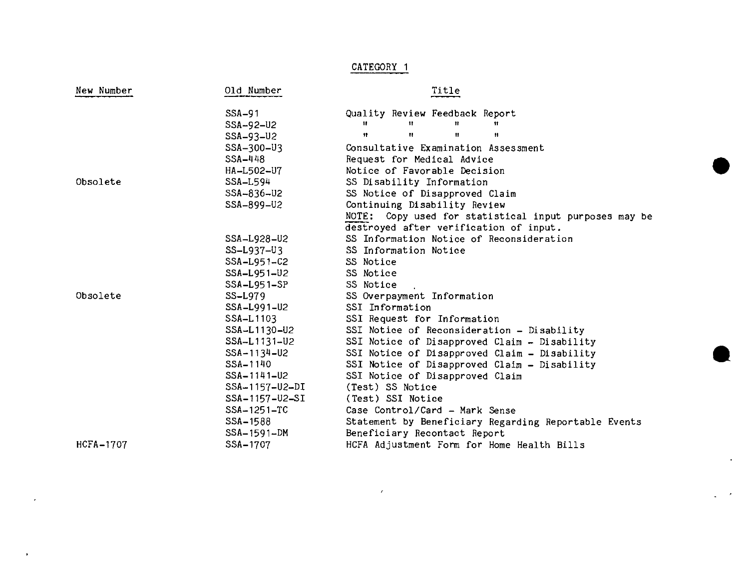## CATEGORY 1

•

**•** 

| New Number       | Old Number        | Title                                                 |  |  |
|------------------|-------------------|-------------------------------------------------------|--|--|
|                  | $SSA-91$          | Quality Review Feedback Report                        |  |  |
|                  | SSA-92-U2         | $\mathbf{H}$<br>Ħ<br>Ħ<br>Ħ                           |  |  |
|                  | SSA-93-U2         | 11<br>$\mathbf{u}$<br>$^{\dagger}$<br>Ħ               |  |  |
|                  | SSA-300-U3        | Consultative Examination Assessment                   |  |  |
|                  | SSA-448           | Request for Medical Advice                            |  |  |
|                  | HA-L502-U7        | Notice of Favorable Decision                          |  |  |
| Obsolete         | SSA-L594          | SS Disability Information                             |  |  |
|                  | SSA-836-U2        | SS Notice of Disapproved Claim                        |  |  |
|                  | SSA-899-U2        | Continuing Disability Review                          |  |  |
|                  |                   | NOTE: Copy used for statistical input purposes may be |  |  |
|                  |                   | destroyed after verification of input.                |  |  |
|                  | SSA-L928-U2       | SS Information Notice of Reconsideration              |  |  |
|                  | SS-L937-U3        | SS Information Notice                                 |  |  |
|                  | SSA-L951-C2       | SS Notice                                             |  |  |
|                  | SSA-L951-U2       | SS Notice                                             |  |  |
|                  | SSA-L951-SP       | SS Notice                                             |  |  |
| Obsolete         | $SS-L979$         | SS Overpayment Information                            |  |  |
|                  | SSA-L991-U2       | SSI Information                                       |  |  |
|                  | SSA-L1103         | SSI Request for Information                           |  |  |
|                  | SSA-L1130-U2      | SSI Notice of Reconsideration - Disability            |  |  |
|                  | SSA-L1131-U2      | SSI Notice of Disapproved Claim - Disability          |  |  |
|                  | SSA-1134-U2       | SSI Notice of Disapproved Claim - Disability          |  |  |
|                  | SSA-1140          | SSI Notice of Disapproved Claim - Disability          |  |  |
|                  | $SSA - 1141 - U2$ | SSI Notice of Disapproved Claim                       |  |  |
|                  | SSA-1157-U2-DI    | (Test) SS Notice                                      |  |  |
|                  | SSA-1157-U2-SI    | (Test) SSI Notice                                     |  |  |
|                  | SSA-1251-TC       | Case Control/Card - Mark Sense                        |  |  |
|                  | SSA-1588          | Statement by Beneficiary Regarding Reportable Events  |  |  |
|                  | SSA-1591-DM       | Beneficiary Recontact Report                          |  |  |
| <b>HCFA-1707</b> | SSA-1707          | HCFA Adjustment Form for Home Health Bills            |  |  |

 $\epsilon$ 

 $\bar{\mathbf{r}}$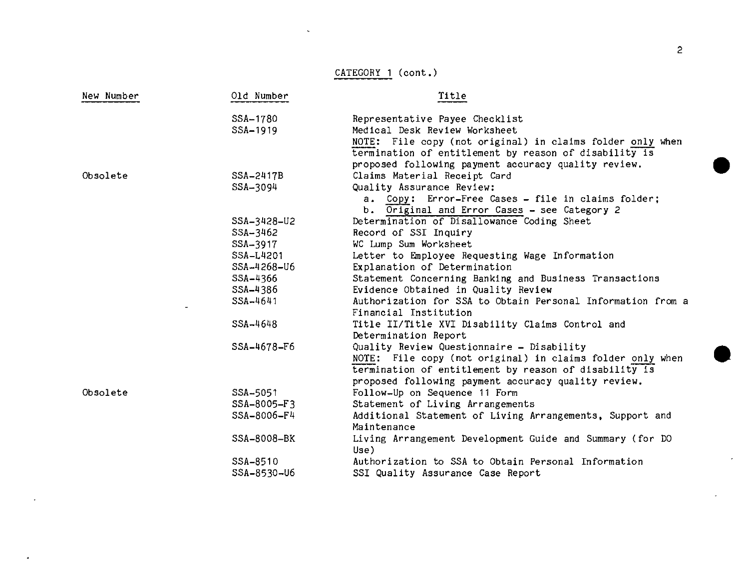## CATEGORY **1** (cont.)

| New Number | Old Number  | Title                                                                    |  |  |
|------------|-------------|--------------------------------------------------------------------------|--|--|
|            | SSA-1780    | Representative Payee Checklist                                           |  |  |
|            | SSA-1919    | Medical Desk Review Worksheet                                            |  |  |
|            |             | NOTE: File copy (not original) in claims folder only when                |  |  |
|            |             | termination of entitlement by reason of disability is                    |  |  |
|            |             | proposed following payment accuracy quality review.                      |  |  |
| Obsolete   | SSA-2417B   | Claims Material Receipt Card                                             |  |  |
|            | SSA-3094    | Quality Assurance Review:                                                |  |  |
|            |             | a. Copy: Error-Free Cases - file in claims folder;                       |  |  |
|            |             | b. Original and Error Cases - see Category 2                             |  |  |
|            | SSA-3428-U2 | Determination of Disallowance Coding Sheet                               |  |  |
|            | SSA-3462    | Record of SSI Inquiry                                                    |  |  |
|            | SSA-3917    | WC Lump Sum Worksheet                                                    |  |  |
|            | SSA-L4201   | Letter to Employee Requesting Wage Information                           |  |  |
|            | SSA-4268-U6 | Explanation of Determination                                             |  |  |
|            | SSA-4366    | Statement Concerning Banking and Business Transactions                   |  |  |
|            | SSA-4386    | Evidence Obtained in Quality Review                                      |  |  |
|            | SSA-4641    | Authorization for SSA to Obtain Personal Information from a              |  |  |
|            |             | Financial Institution                                                    |  |  |
|            | SSA-4648    | Title II/Title XVI Disability Claims Control and<br>Determination Report |  |  |
|            | SSA-4678-F6 | Quality Review Questionnaire - Disability                                |  |  |
|            |             | NOTE: File copy (not original) in claims folder only when                |  |  |
|            |             | termination of entitlement by reason of disability is                    |  |  |
|            |             | proposed following payment accuracy quality review.                      |  |  |
| Obsolete   | SSA-5051    | Follow-Up on Sequence 11 Form                                            |  |  |
|            | SSA-8005-F3 | Statement of Living Arrangements                                         |  |  |
|            | SSA-8006-F4 | Additional Statement of Living Arrangements, Support and<br>Maintenance  |  |  |
|            | SSA-8008-BK | Living Arrangement Development Guide and Summary (for DO<br>Use)         |  |  |
|            | SSA-8510    | Authorization to SSA to Obtain Personal Information                      |  |  |
|            | SSA-8530-U6 | SSI Quality Assurance Case Report                                        |  |  |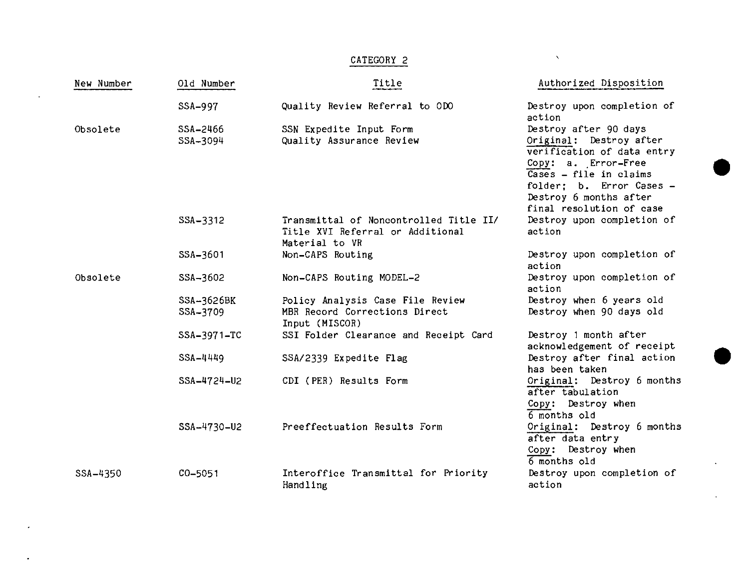## CATEGORY 2

 $\ddot{\phantom{a}}$ 

•

•

| New Number | Old Number             | Title                                                                                        | Authorized Disposition                                                                                                                                                                                            |
|------------|------------------------|----------------------------------------------------------------------------------------------|-------------------------------------------------------------------------------------------------------------------------------------------------------------------------------------------------------------------|
|            | SSA-997                | Quality Review Referral to ODO                                                               | Destroy upon completion of<br>action                                                                                                                                                                              |
| Obsolete   | SSA-2466<br>SSA-3094   | SSN Expedite Input Form<br>Quality Assurance Review                                          | Destroy after 90 days<br>Original: Destroy after<br>verification of data entry<br>Copy: a. Error-Free<br>Cases - file in claims<br>folder; b. Error Cases -<br>Destroy 6 months after<br>final resolution of case |
|            | SSA-3312               | Transmittal of Noncontrolled Title II/<br>Title XVI Referral or Additional<br>Material to VR | Destroy upon completion of<br>action                                                                                                                                                                              |
|            | SSA-3601               | Non-CAPS Routing                                                                             | Destroy upon completion of<br>action                                                                                                                                                                              |
| Obsolete   | SSA-3602               | Non-CAPS Routing MODEL-2                                                                     | Destroy upon completion of<br>action                                                                                                                                                                              |
|            | SSA-3626BK<br>SSA-3709 | Policy Analysis Case File Review<br>MBR Record Corrections Direct<br>Input (MISCOR)          | Destroy when 6 years old<br>Destroy when 90 days old                                                                                                                                                              |
|            | SSA-3971-TC            | SSI Folder Clearance and Receipt Card                                                        | Destroy 1 month after<br>acknowledgement of receipt                                                                                                                                                               |
|            | $SSA - 4449$           | SSA/2339 Expedite Flag                                                                       | Destroy after final action<br>has been taken                                                                                                                                                                      |
|            | SSA-4724-U2            | CDI (PER) Results Form                                                                       | Original: Destroy 6 months<br>after tabulation<br>Copy: Destroy when<br>6 months old                                                                                                                              |
|            | SSA-4730-U2            | Preeffectuation Results Form                                                                 | Original: Destroy 6 months<br>after data entry<br>Copy: Destroy when<br>6 months old                                                                                                                              |
| SSA-4350   | $CO - 5051$            | Interoffice Transmittal for Priority<br>Handling                                             | Destroy upon completion of<br>action                                                                                                                                                                              |